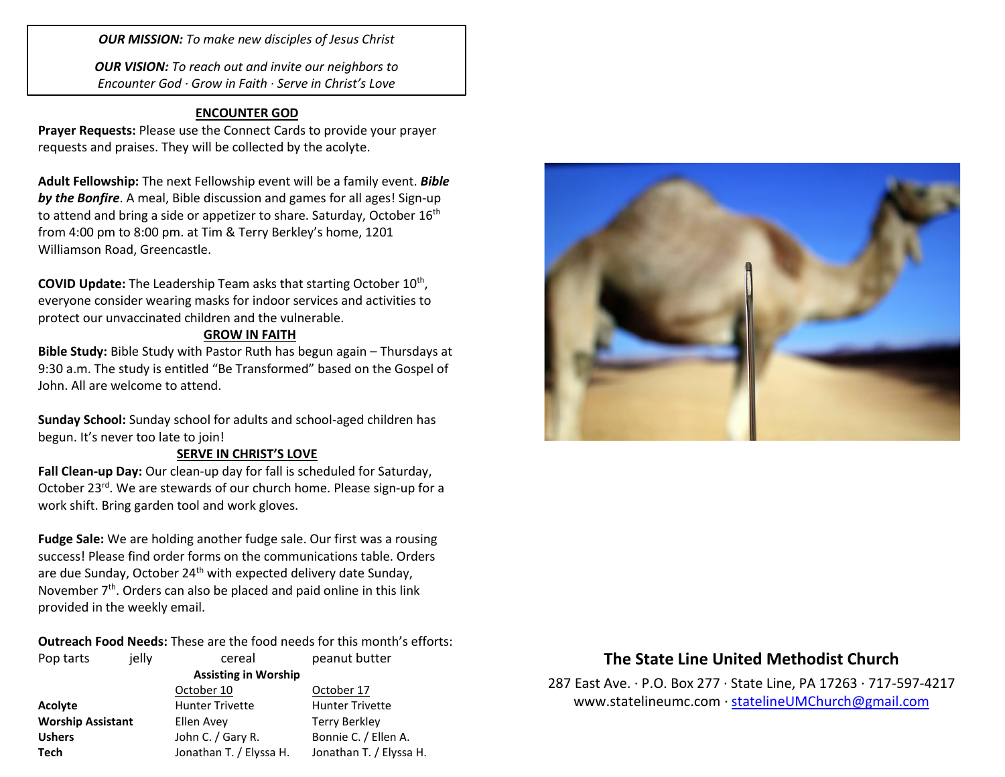*OUR MISSION: To make new disciples of Jesus Christ*

*OUR VISION: To reach out and invite our neighbors to Encounter God · Grow in Faith · Serve in Christ's Love*

### **ENCOUNTER GOD**

**Prayer Requests:** Please use the Connect Cards to provide your prayer requests and praises. They will be collected by the acolyte.

**Adult Fellowship:** The next Fellowship event will be a family event. *Bible by the Bonfire*. A meal, Bible discussion and games for all ages! Sign-up to attend and bring a side or appetizer to share. Saturday, October 16<sup>th</sup> from 4:00 pm to 8:00 pm. at Tim & Terry Berkley's home, 1201 Williamson Road, Greencastle.

COVID Update: The Leadership Team asks that starting October 10<sup>th</sup>, everyone consider wearing masks for indoor services and activities to protect our unvaccinated children and the vulnerable.

#### **GROW IN FAITH**

**Bible Study:** Bible Study with Pastor Ruth has begun again – Thursdays at 9:30 a.m. The study is entitled "Be Transformed" based on the Gospel of John. All are welcome to attend.

**Sunday School:** Sunday school for adults and school-aged children has begun. It's never too late to join!

#### **SERVE IN CHRIST'S LOVE**

**Fall Clean-up Day:** Our clean-up day for fall is scheduled for Saturday, October 23rd. We are stewards of our church home. Please sign-up for a work shift. Bring garden tool and work gloves.

**Fudge Sale:** We are holding another fudge sale. Our first was a rousing success! Please find order forms on the communications table. Orders are due Sunday, October 24<sup>th</sup> with expected delivery date Sunday, November  $7<sup>th</sup>$ . Orders can also be placed and paid online in this link provided in the weekly email.

**Outreach Food Needs:** These are the food needs for this month's efforts:

| Pop tarts                | jelly | cereal                      | peanut butter           |
|--------------------------|-------|-----------------------------|-------------------------|
|                          |       | <b>Assisting in Worship</b> |                         |
|                          |       | October 10                  | October 17              |
| <b>Acolyte</b>           |       | <b>Hunter Trivette</b>      | <b>Hunter Trivette</b>  |
| <b>Worship Assistant</b> |       | Ellen Avey                  | <b>Terry Berkley</b>    |
| <b>Ushers</b>            |       | John C. / Gary R.           | Bonnie C. / Ellen A.    |
| <b>Tech</b>              |       | Jonathan T. / Elyssa H.     | Jonathan T. / Elyssa H. |



# **The State Line United Methodist Church**

287 East Ave. · P.O. Box 277 · State Line, PA 17263 · 717-597-4217 [www.statelineumc.com](http://www.statelineumc.com/) · [statelineUMChurch@gmail.com](mailto:statelineUMChurch@gmail.com)